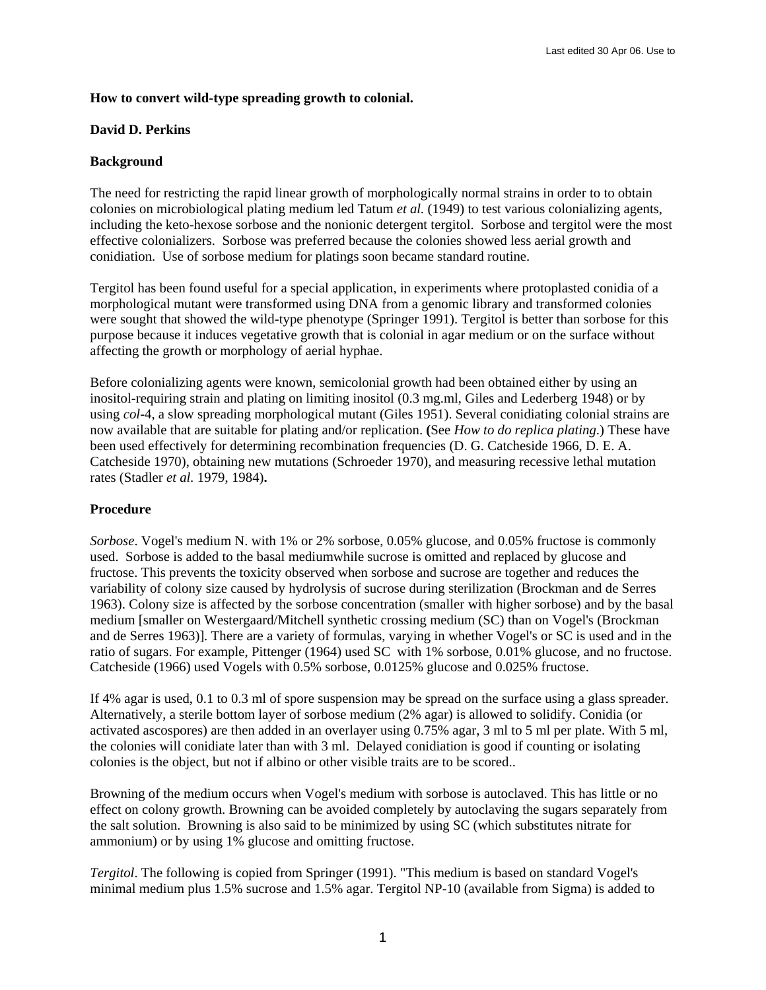# **How to convert wild-type spreading growth to colonial.**

#### **David D. Perkins**

# **Background**

The need for restricting the rapid linear growth of morphologically normal strains in order to to obtain colonies on microbiological plating medium led Tatum *et al.* (1949) to test various colonializing agents, including the keto-hexose sorbose and the nonionic detergent tergitol. Sorbose and tergitol were the most effective colonializers. Sorbose was preferred because the colonies showed less aerial growth and conidiation. Use of sorbose medium for platings soon became standard routine.

Tergitol has been found useful for a special application, in experiments where protoplasted conidia of a morphological mutant were transformed using DNA from a genomic library and transformed colonies were sought that showed the wild-type phenotype (Springer 1991). Tergitol is better than sorbose for this purpose because it induces vegetative growth that is colonial in agar medium or on the surface without affecting the growth or morphology of aerial hyphae.

Before colonializing agents were known, semicolonial growth had been obtained either by using an inositol-requiring strain and plating on limiting inositol (0.3 mg.ml, Giles and Lederberg 1948) or by using *col-*4, a slow spreading morphological mutant (Giles 1951). Several conidiating colonial strains are now available that are suitable for plating and/or replication. **(**See *How to do replica plating*.) These have been used effectively for determining recombination frequencies (D. G. Catcheside 1966, D. E. A. Catcheside 1970), obtaining new mutations (Schroeder 1970), and measuring recessive lethal mutation rates (Stadler *et al.* 1979, 1984)**.** 

## **Procedure**

*Sorbose*. Vogel's medium N. with 1% or 2% sorbose, 0.05% glucose, and 0.05% fructose is commonly used. Sorbose is added to the basal mediumwhile sucrose is omitted and replaced by glucose and fructose. This prevents the toxicity observed when sorbose and sucrose are together and reduces the variability of colony size caused by hydrolysis of sucrose during sterilization (Brockman and de Serres 1963). Colony size is affected by the sorbose concentration (smaller with higher sorbose) and by the basal medium [smaller on Westergaard/Mitchell synthetic crossing medium (SC) than on Vogel's (Brockman and de Serres 1963)]. There are a variety of formulas, varying in whether Vogel's or SC is used and in the ratio of sugars. For example, Pittenger (1964) used SC with 1% sorbose, 0.01% glucose, and no fructose. Catcheside (1966) used Vogels with 0.5% sorbose, 0.0125% glucose and 0.025% fructose.

If 4% agar is used, 0.1 to 0.3 ml of spore suspension may be spread on the surface using a glass spreader. Alternatively, a sterile bottom layer of sorbose medium (2% agar) is allowed to solidify. Conidia (or activated ascospores) are then added in an overlayer using 0.75% agar, 3 ml to 5 ml per plate. With 5 ml, the colonies will conidiate later than with 3 ml. Delayed conidiation is good if counting or isolating colonies is the object, but not if albino or other visible traits are to be scored..

Browning of the medium occurs when Vogel's medium with sorbose is autoclaved. This has little or no effect on colony growth. Browning can be avoided completely by autoclaving the sugars separately from the salt solution. Browning is also said to be minimized by using SC (which substitutes nitrate for ammonium) or by using 1% glucose and omitting fructose.

*Tergitol*. The following is copied from Springer (1991). "This medium is based on standard Vogel's minimal medium plus 1.5% sucrose and 1.5% agar. Tergitol NP-10 (available from Sigma) is added to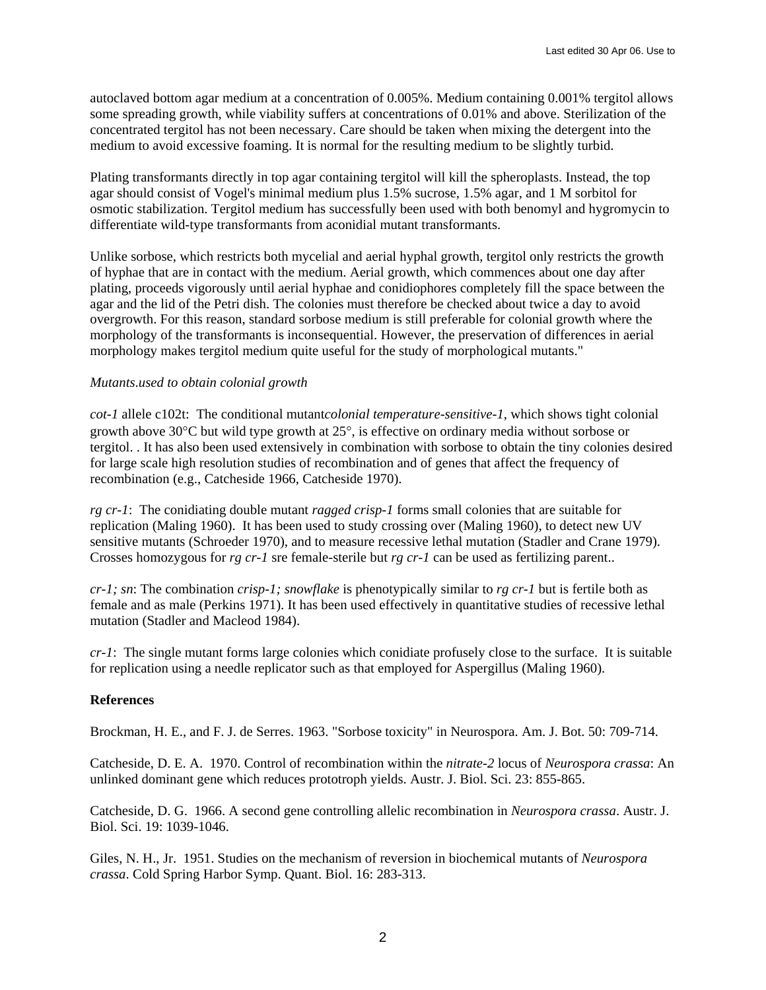autoclaved bottom agar medium at a concentration of 0.005%. Medium containing 0.001% tergitol allows some spreading growth, while viability suffers at concentrations of 0.01% and above. Sterilization of the concentrated tergitol has not been necessary. Care should be taken when mixing the detergent into the medium to avoid excessive foaming. It is normal for the resulting medium to be slightly turbid.

Plating transformants directly in top agar containing tergitol will kill the spheroplasts. Instead, the top agar should consist of Vogel's minimal medium plus 1.5% sucrose, 1.5% agar, and 1 M sorbitol for osmotic stabilization. Tergitol medium has successfully been used with both benomyl and hygromycin to differentiate wild-type transformants from aconidial mutant transformants.

Unlike sorbose, which restricts both mycelial and aerial hyphal growth, tergitol only restricts the growth of hyphae that are in contact with the medium. Aerial growth, which commences about one day after plating, proceeds vigorously until aerial hyphae and conidiophores completely fill the space between the agar and the lid of the Petri dish. The colonies must therefore be checked about twice a day to avoid overgrowth. For this reason, standard sorbose medium is still preferable for colonial growth where the morphology of the transformants is inconsequential. However, the preservation of differences in aerial morphology makes tergitol medium quite useful for the study of morphological mutants."

## *Mutants*.*used to obtain colonial growth*

*cot-1* allele c102t: The conditional mutant*colonial temperature-sensitive-1*, which shows tight colonial growth above 30°C but wild type growth at 25°, is effective on ordinary media without sorbose or tergitol. . It has also been used extensively in combination with sorbose to obtain the tiny colonies desired for large scale high resolution studies of recombination and of genes that affect the frequency of recombination (e.g., Catcheside 1966, Catcheside 1970).

*rg cr-1*: The conidiating double mutant *ragged crisp-1* forms small colonies that are suitable for replication (Maling 1960). It has been used to study crossing over (Maling 1960), to detect new UV sensitive mutants (Schroeder 1970), and to measure recessive lethal mutation (Stadler and Crane 1979). Crosses homozygous for *rg cr-1* sre female-sterile but *rg cr-1* can be used as fertilizing parent..

*cr-1; sn*: The combination *crisp-1; snowflake* is phenotypically similar to *rg cr-1* but is fertile both as female and as male (Perkins 1971). It has been used effectively in quantitative studies of recessive lethal mutation (Stadler and Macleod 1984).

*cr-1*: The single mutant forms large colonies which conidiate profusely close to the surface. It is suitable for replication using a needle replicator such as that employed for Aspergillus (Maling 1960).

## **References**

Brockman, H. E., and F. J. de Serres. 1963. "Sorbose toxicity" in Neurospora. Am. J. Bot. 50: 709-714.

Catcheside, D. E. A. 1970. Control of recombination within the *nitrate-2* locus of *Neurospora crassa*: An unlinked dominant gene which reduces prototroph yields. Austr. J. Biol. Sci. 23: 855-865.

Catcheside, D. G. 1966. A second gene controlling allelic recombination in *Neurospora crassa*. Austr. J. Biol. Sci. 19: 1039-1046.

Giles, N. H., Jr. 1951. Studies on the mechanism of reversion in biochemical mutants of *Neurospora crassa*. Cold Spring Harbor Symp. Quant. Biol. 16: 283-313.